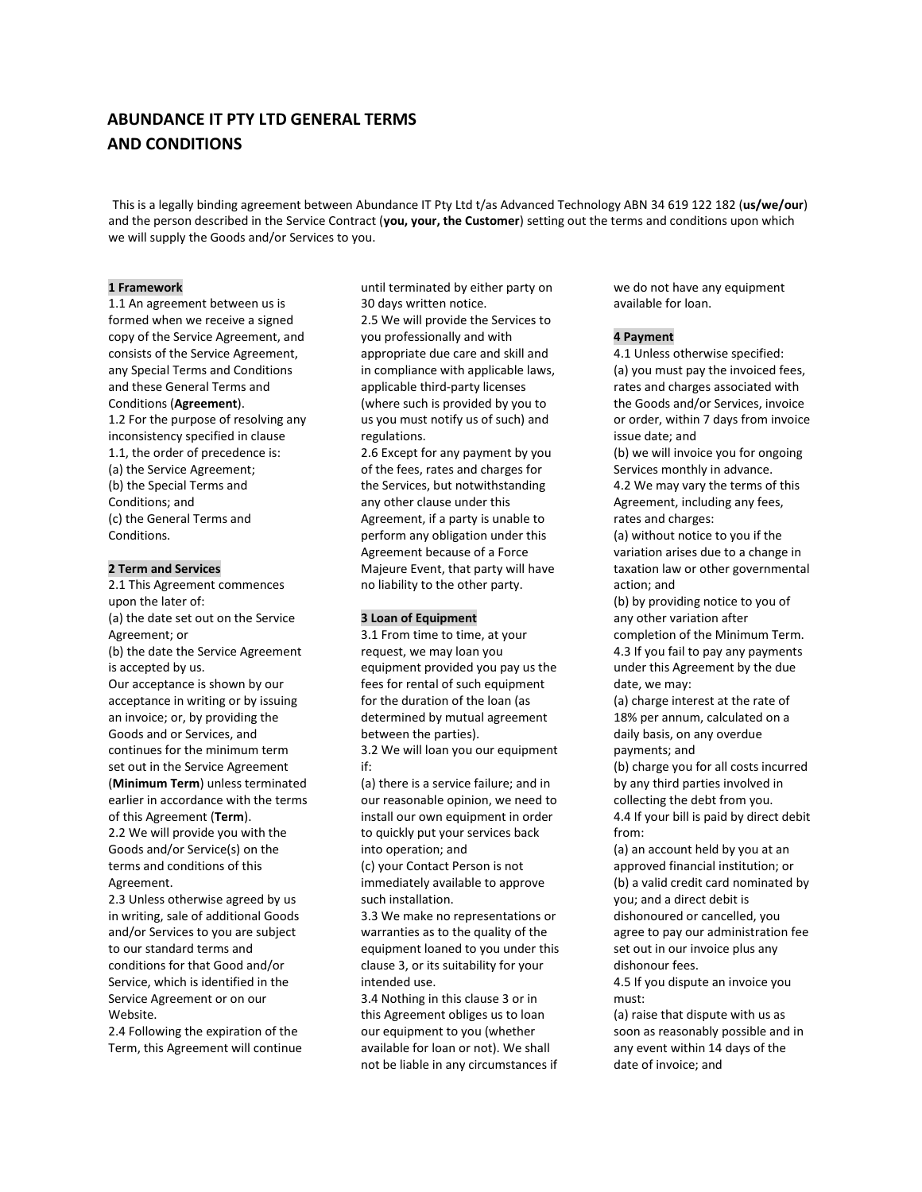# **ABUNDANCE IT PTY LTD GENERAL TERMS AND CONDITIONS**

This is a legally binding agreement between Abundance IT Pty Ltd t/as Advanced Technology ABN 34 619 122 182 (**us/we/our**) and the person described in the Service Contract (**you, your, the Customer**) setting out the terms and conditions upon which we will supply the Goods and/or Services to you.

## **1 Framework**

1.1 An agreement between us is formed when we receive a signed copy of the Service Agreement, and consists of the Service Agreement, any Special Terms and Conditions and these General Terms and Conditions (**Agreement**). 1.2 For the purpose of resolving any inconsistency specified in clause 1.1, the order of precedence is: (a) the Service Agreement;

(b) the Special Terms and Conditions; and (c) the General Terms and Conditions.

## **2 Term and Services**

2.1 This Agreement commences upon the later of: (a) the date set out on the Service Agreement; or (b) the date the Service Agreement is accepted by us. Our acceptance is shown by our acceptance in writing or by issuing an invoice; or, by providing the Goods and or Services, and continues for the minimum term set out in the Service Agreement (**Minimum Term**) unless terminated earlier in accordance with the terms of this Agreement (**Term**). 2.2 We will provide you with the Goods and/or Service(s) on the

terms and conditions of this Agreement. 2.3 Unless otherwise agreed by us in writing, sale of additional Goods and/or Services to you are subject

to our standard terms and conditions for that Good and/or Service, which is identified in the Service Agreement or on our Website.

2.4 Following the expiration of the Term, this Agreement will continue until terminated by either party on 30 days written notice.

2.5 We will provide the Services to you professionally and with appropriate due care and skill and in compliance with applicable laws, applicable third-party licenses (where such is provided by you to us you must notify us of such) and regulations.

2.6 Except for any payment by you of the fees, rates and charges for the Services, but notwithstanding any other clause under this Agreement, if a party is unable to perform any obligation under this Agreement because of a Force Majeure Event, that party will have no liability to the other party.

## **3 Loan of Equipment**

3.1 From time to time, at your request, we may loan you equipment provided you pay us the fees for rental of such equipment for the duration of the loan (as determined by mutual agreement between the parties).

3.2 We will loan you our equipment if:

(a) there is a service failure; and in our reasonable opinion, we need to install our own equipment in order to quickly put your services back into operation; and (c) your Contact Person is not immediately available to approve such installation.

3.3 We make no representations or warranties as to the quality of the equipment loaned to you under this clause 3, or its suitability for your intended use.

3.4 Nothing in this clause 3 or in this Agreement obliges us to loan our equipment to you (whether available for loan or not). We shall not be liable in any circumstances if we do not have any equipment available for loan.

#### **4 Payment**

4.1 Unless otherwise specified: (a) you must pay the invoiced fees, rates and charges associated with the Goods and/or Services, invoice or order, within 7 days from invoice issue date; and

(b) we will invoice you for ongoing Services monthly in advance. 4.2 We may vary the terms of this Agreement, including any fees, rates and charges:

(a) without notice to you if the variation arises due to a change in taxation law or other governmental action; and

(b) by providing notice to you of any other variation after completion of the Minimum Term. 4.3 If you fail to pay any payments under this Agreement by the due date, we may:

(a) charge interest at the rate of 18% per annum, calculated on a daily basis, on any overdue payments; and

(b) charge you for all costs incurred by any third parties involved in collecting the debt from you. 4.4 If your bill is paid by direct debit from:

(a) an account held by you at an approved financial institution; or (b) a valid credit card nominated by you; and a direct debit is dishonoured or cancelled, you agree to pay our administration fee set out in our invoice plus any dishonour fees.

4.5 If you dispute an invoice you must:

(a) raise that dispute with us as soon as reasonably possible and in any event within 14 days of the date of invoice; and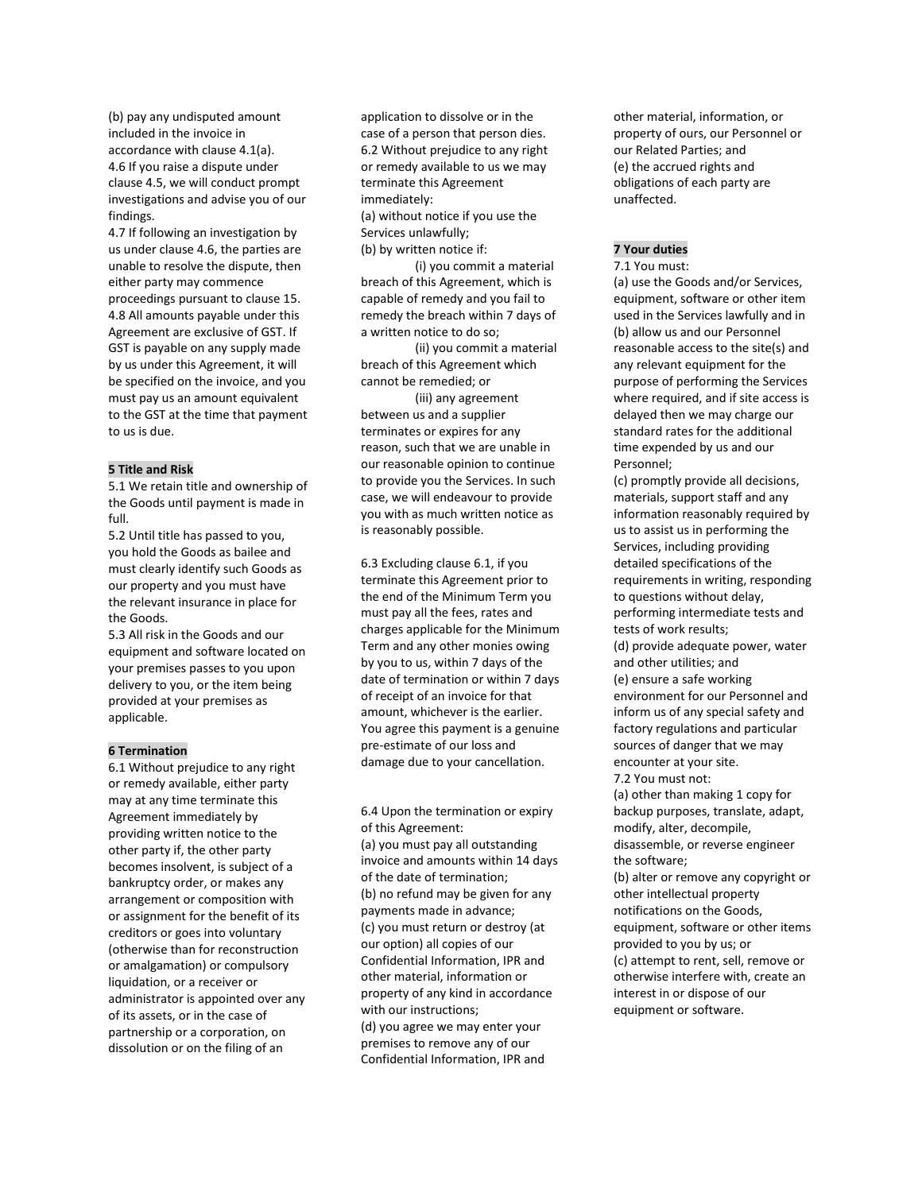(b) pay any undisputed amount included in the invoice in accordance with clause 4.1(a). 4.6 If you raise a dispute under clause 4.5, we will conduct prompt investigations and advise you of our findings.

4.7 If following an investigation by us under clause 4.6, the parties are unable to resolve the dispute, then either party may commence proceedings pursuant to clause 15.

4.8 All amounts payable under this Agreement are exclusive of GST. If GST is payable on any supply made by us under this Agreement, it will be specified on the invoice, and you must pay us an amount equivalent to the GST at the time that payment to us is due.

## **5 Title and Risk**

5.1 We retain title and ownership of the Goods until payment is made in full.

5.2 Until title has passed to you, you hold the Goods as bailee and must clearly identify such Goods as our property and you must have the relevant insurance in place for the Goods.

5.3 All risk in the Goods and our equipment and software located on your premises passes to you upon delivery to you, or the item being provided at your premises as applicable.

#### **6 Termination**

6.1 Without prejudice to any right or remedy available, either party may at any time terminate this Agreement immediately by providing written notice to the other party if, the other party becomes insolvent, is subject of a bankruptcy order, or makes any arrangement or composition with or assignment for the benefit of its creditors or goes into voluntary (otherwise than for reconstruction or amalgamation) or compulsory liquidation, or a receiver or administrator is appointed over any of its assets, or in the case of partnership or a corporation, on dissolution or on the filing of an

application to dissolve or in the case of a person that person dies. 6.2 Without prejudice to any right or remedy available to us we may terminate this Agreement immediately: (a) without notice if you use the Services unlawfully;

(b) by written notice if:

(i) you commit a material breach of this Agreement, which is capable of remedy and you fail to remedy the breach within 7 days of a written notice to do so;

(ii) you commit a material breach of this Agreement which cannot be remedied; or

(iii) any agreement between us and a supplier terminates or expires for any reason, such that we are unable in our reasonable opinion to continue to provide you the Services. In such case, we will endeavour to provide you with as much written notice as is reasonably possible.

6.3 Excluding clause 6.1, if you terminate this Agreement prior to the end of the Minimum Term you must pay all the fees, rates and charges applicable for the Minimum Term and any other monies owing by you to us, within 7 days of the date of termination or within 7 days of receipt of an invoice for that amount, whichever is the earlier. You agree this payment is a genuine pre-estimate of our loss and damage due to your cancellation.

6.4 Upon the termination or expiry of this Agreement:

(a) you must pay all outstanding invoice and amounts within 14 days of the date of termination; (b) no refund may be given for any payments made in advance; (c) you must return or destroy (at our option) all copies of our Confidential Information, IPR and other material, information or property of any kind in accordance with our instructions; (d) you agree we may enter your premises to remove any of our Confidential Information, IPR and

other material, information, or property of ours, our Personnel or our Related Parties; and (e) the accrued rights and obligations of each party are unaffected.

## **7 Your duties**

#### 7.1 You must:

(a) use the Goods and/or Services, equipment, software or other item used in the Services lawfully and in (b) allow us and our Personnel reasonable access to the site(s) and any relevant equipment for the purpose of performing the Services where required, and if site access is delayed then we may charge our standard rates for the additional time expended by us and our Personnel;

(c) promptly provide all decisions, materials, support staff and any information reasonably required by us to assist us in performing the Services, including providing detailed specifications of the requirements in writing, responding to questions without delay, performing intermediate tests and tests of work results; (d) provide adequate power, water and other utilities; and (e) ensure a safe working environment for our Personnel and inform us of any special safety and factory regulations and particular sources of danger that we may encounter at your site. 7.2 You must not: (a) other than making 1 copy for backup purposes, translate, adapt, modify, alter, decompile, disassemble, or reverse engineer the software; (b) alter or remove any copyright or other intellectual property notifications on the Goods, equipment, software or other items provided to you by us; or (c) attempt to rent, sell, remove or otherwise interfere with, create an interest in or dispose of our equipment or software.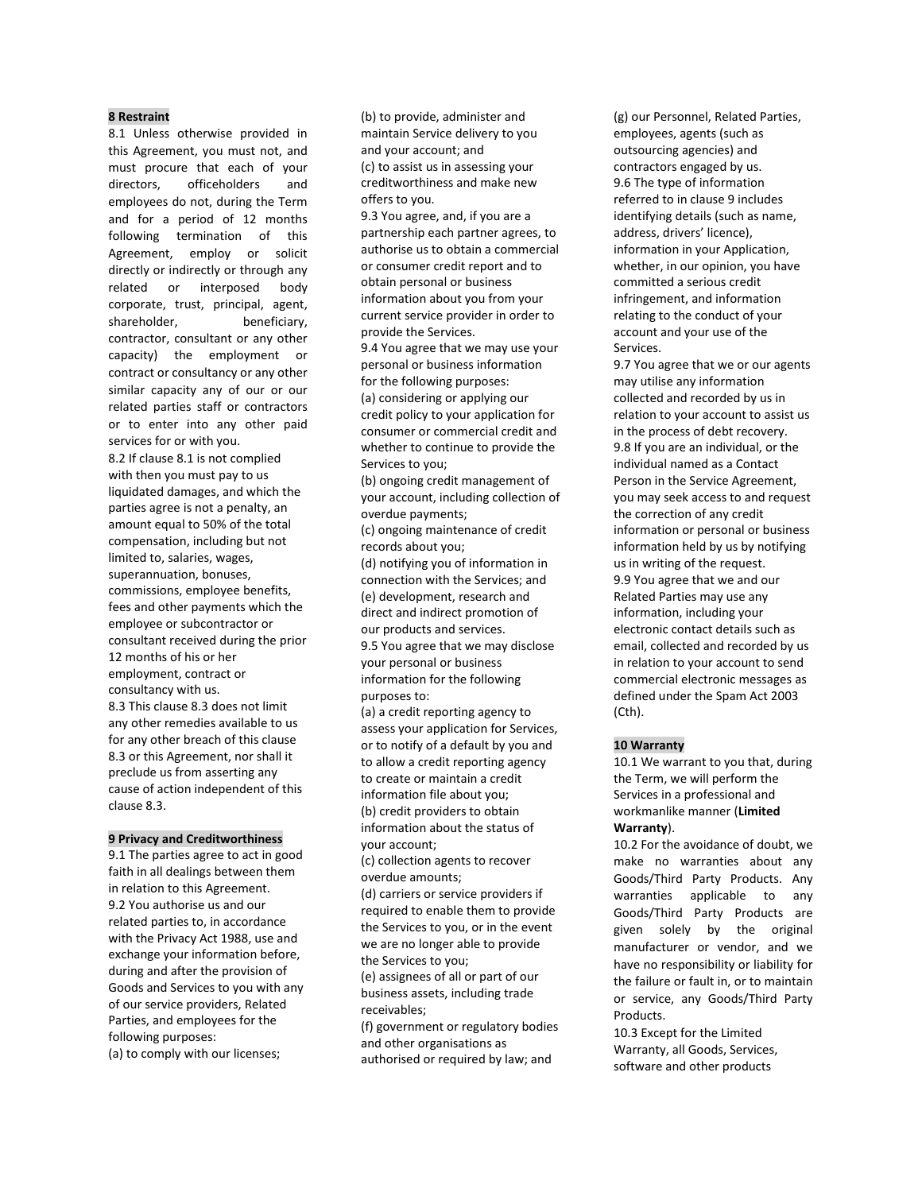## **8 Restraint**

8.1 Unless otherwise provided in this Agreement, you must not, and must procure that each of your directors, officeholders and employees do not, during the Term and for a period of 12 months following termination of this Agreement, employ or solicit directly or indirectly or through any related or interposed body corporate, trust, principal, agent, shareholder, beneficiary, contractor, consultant or any other capacity) the employment or contract or consultancy or any other similar capacity any of our or our related parties staff or contractors or to enter into any other paid services for or with you.

8.2 If clause 8.1 is not complied with then you must pay to us liquidated damages, and which the parties agree is not a penalty, an amount equal to 50% of the total compensation, including but not limited to, salaries, wages, superannuation, bonuses, commissions, employee benefits, fees and other payments which the employee or subcontractor or consultant received during the prior 12 months of his or her employment, contract or consultancy with us. 8.3 This clause 8.3 does not limit any other remedies available to us for any other breach of this clause 8.3 or this Agreement, nor shall it preclude us from asserting any cause of action independent of this clause 8.3.

#### **9 Privacy and Creditworthiness**

9.1 The parties agree to act in good faith in all dealings between them in relation to this Agreement. 9.2 You authorise us and our related parties to, in accordance with the Privacy Act 1988, use and exchange your information before, during and after the provision of Goods and Services to you with any of our service providers, Related Parties, and employees for the following purposes:

(a) to comply with our licenses;

(b) to provide, administer and maintain Service delivery to you and your account; and (c) to assist us in assessing your creditworthiness and make new offers to you.

9.3 You agree, and, if you are a partnership each partner agrees, to authorise us to obtain a commercial or consumer credit report and to obtain personal or business information about you from your current service provider in order to provide the Services. 9.4 You agree that we may use your

personal or business information for the following purposes: (a) considering or applying our credit policy to your application for consumer or commercial credit and whether to continue to provide the Services to you;

(b) ongoing credit management of your account, including collection of overdue payments;

(c) ongoing maintenance of credit records about you;

(d) notifying you of information in connection with the Services; and (e) development, research and direct and indirect promotion of our products and services.

9.5 You agree that we may disclose your personal or business information for the following purposes to:

(a) a credit reporting agency to assess your application for Services, or to notify of a default by you and to allow a credit reporting agency to create or maintain a credit information file about you; (b) credit providers to obtain information about the status of your account;

(c) collection agents to recover overdue amounts;

(d) carriers or service providers if required to enable them to provide the Services to you, or in the event we are no longer able to provide the Services to you;

(e) assignees of all or part of our business assets, including trade receivables;

(f) government or regulatory bodies and other organisations as authorised or required by law; and

(g) our Personnel, Related Parties, employees, agents (such as outsourcing agencies) and contractors engaged by us. 9.6 The type of information referred to in clause 9 includes identifying details (such as name, address, drivers' licence), information in your Application, whether, in our opinion, you have committed a serious credit infringement, and information relating to the conduct of your account and your use of the Services.

9.7 You agree that we or our agents may utilise any information collected and recorded by us in relation to your account to assist us in the process of debt recovery. 9.8 If you are an individual, or the individual named as a Contact Person in the Service Agreement, you may seek access to and request the correction of any credit information or personal or business information held by us by notifying us in writing of the request. 9.9 You agree that we and our Related Parties may use any information, including your electronic contact details such as email, collected and recorded by us in relation to your account to send commercial electronic messages as defined under the Spam Act 2003 (Cth).

## **10 Warranty**

10.1 We warrant to you that, during the Term, we will perform the Services in a professional and workmanlike manner (**Limited Warranty**).

10.2 For the avoidance of doubt, we make no warranties about any Goods/Third Party Products. Any warranties applicable to any Goods/Third Party Products are given solely by the original manufacturer or vendor, and we have no responsibility or liability for the failure or fault in, or to maintain or service, any Goods/Third Party **Products** 

10.3 Except for the Limited Warranty, all Goods, Services, software and other products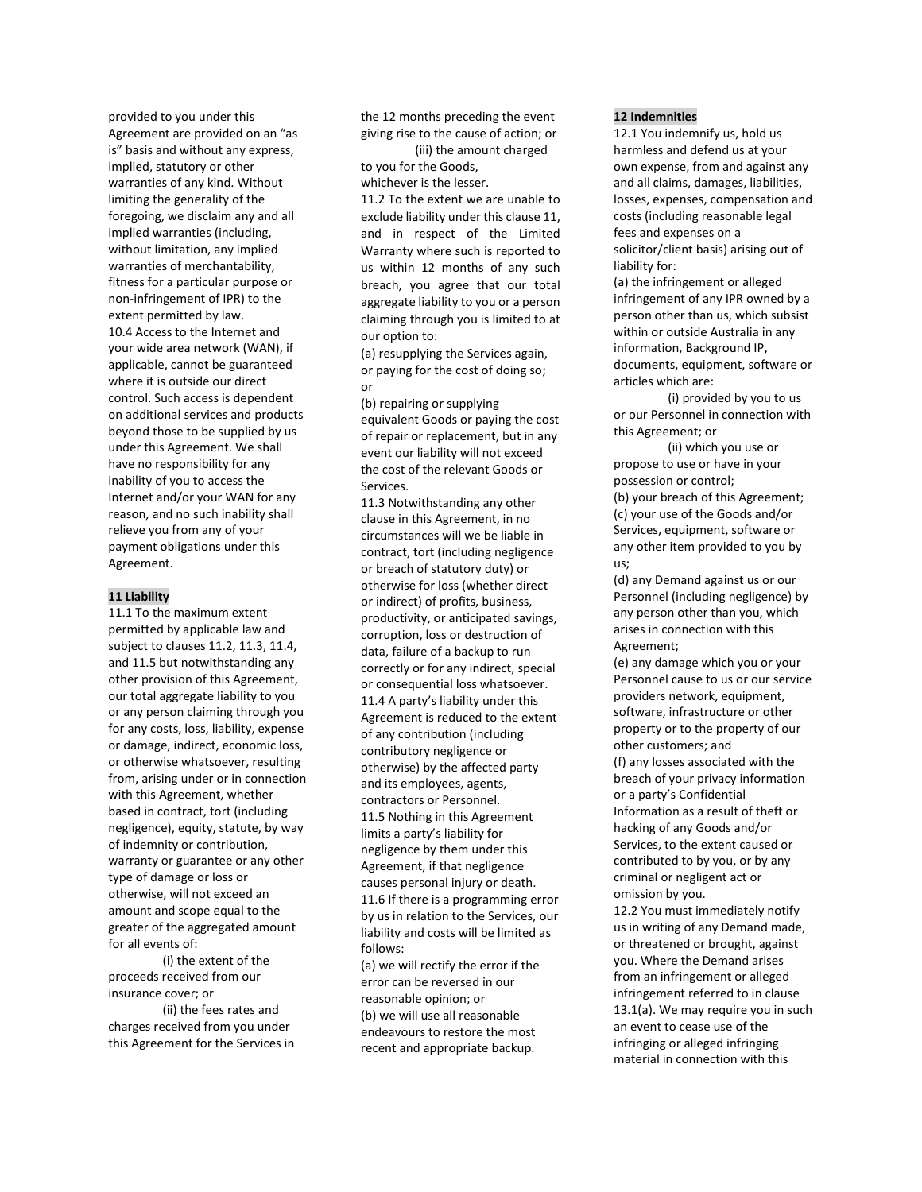provided to you under this Agreement are provided on an "as is" basis and without any express, implied, statutory or other warranties of any kind. Without limiting the generality of the foregoing, we disclaim any and all implied warranties (including, without limitation, any implied warranties of merchantability, fitness for a particular purpose or non-infringement of IPR) to the extent permitted by law. 10.4 Access to the Internet and your wide area network (WAN), if applicable, cannot be guaranteed where it is outside our direct control. Such access is dependent on additional services and products beyond those to be supplied by us under this Agreement. We shall have no responsibility for any inability of you to access the Internet and/or your WAN for any reason, and no such inability shall relieve you from any of your payment obligations under this Agreement.

## **11 Liability**

11.1 To the maximum extent permitted by applicable law and subject to clauses 11.2, 11.3, 11.4, and 11.5 but notwithstanding any other provision of this Agreement, our total aggregate liability to you or any person claiming through you for any costs, loss, liability, expense or damage, indirect, economic loss, or otherwise whatsoever, resulting from, arising under or in connection with this Agreement, whether based in contract, tort (including negligence), equity, statute, by way of indemnity or contribution, warranty or guarantee or any other type of damage or loss or otherwise, will not exceed an amount and scope equal to the greater of the aggregated amount for all events of:

(i) the extent of the proceeds received from our insurance cover; or

(ii) the fees rates and charges received from you under this Agreement for the Services in the 12 months preceding the event giving rise to the cause of action; or

(iii) the amount charged to you for the Goods, whichever is the lesser.

11.2 To the extent we are unable to

exclude liability under this clause 11, and in respect of the Limited Warranty where such is reported to us within 12 months of any such breach, you agree that our total aggregate liability to you or a person claiming through you is limited to at our option to:

(a) resupplying the Services again, or paying for the cost of doing so; or

(b) repairing or supplying equivalent Goods or paying the cost of repair or replacement, but in any event our liability will not exceed the cost of the relevant Goods or Services.

11.3 Notwithstanding any other clause in this Agreement, in no circumstances will we be liable in contract, tort (including negligence or breach of statutory duty) or otherwise for loss (whether direct or indirect) of profits, business, productivity, or anticipated savings, corruption, loss or destruction of data, failure of a backup to run correctly or for any indirect, special or consequential loss whatsoever. 11.4 A party's liability under this Agreement is reduced to the extent of any contribution (including contributory negligence or otherwise) by the affected party and its employees, agents, contractors or Personnel. 11.5 Nothing in this Agreement limits a party's liability for negligence by them under this Agreement, if that negligence causes personal injury or death. 11.6 If there is a programming error by us in relation to the Services, our liability and costs will be limited as follows: (a) we will rectify the error if the error can be reversed in our

reasonable opinion; or (b) we will use all reasonable endeavours to restore the most recent and appropriate backup.

## **12 Indemnities**

12.1 You indemnify us, hold us harmless and defend us at your own expense, from and against any and all claims, damages, liabilities, losses, expenses, compensation and costs (including reasonable legal fees and expenses on a solicitor/client basis) arising out of liability for:

(a) the infringement or alleged infringement of any IPR owned by a person other than us, which subsist within or outside Australia in any information, Background IP, documents, equipment, software or articles which are:

(i) provided by you to us or our Personnel in connection with this Agreement; or

(ii) which you use or propose to use or have in your possession or control;

(b) your breach of this Agreement; (c) your use of the Goods and/or Services, equipment, software or any other item provided to you by us;

(d) any Demand against us or our Personnel (including negligence) by any person other than you, which arises in connection with this Agreement;

(e) any damage which you or your Personnel cause to us or our service providers network, equipment, software, infrastructure or other property or to the property of our other customers; and (f) any losses associated with the breach of your privacy information or a party's Confidential

Information as a result of theft or hacking of any Goods and/or Services, to the extent caused or contributed to by you, or by any criminal or negligent act or omission by you.

12.2 You must immediately notify us in writing of any Demand made, or threatened or brought, against you. Where the Demand arises from an infringement or alleged infringement referred to in clause 13.1(a). We may require you in such an event to cease use of the infringing or alleged infringing material in connection with this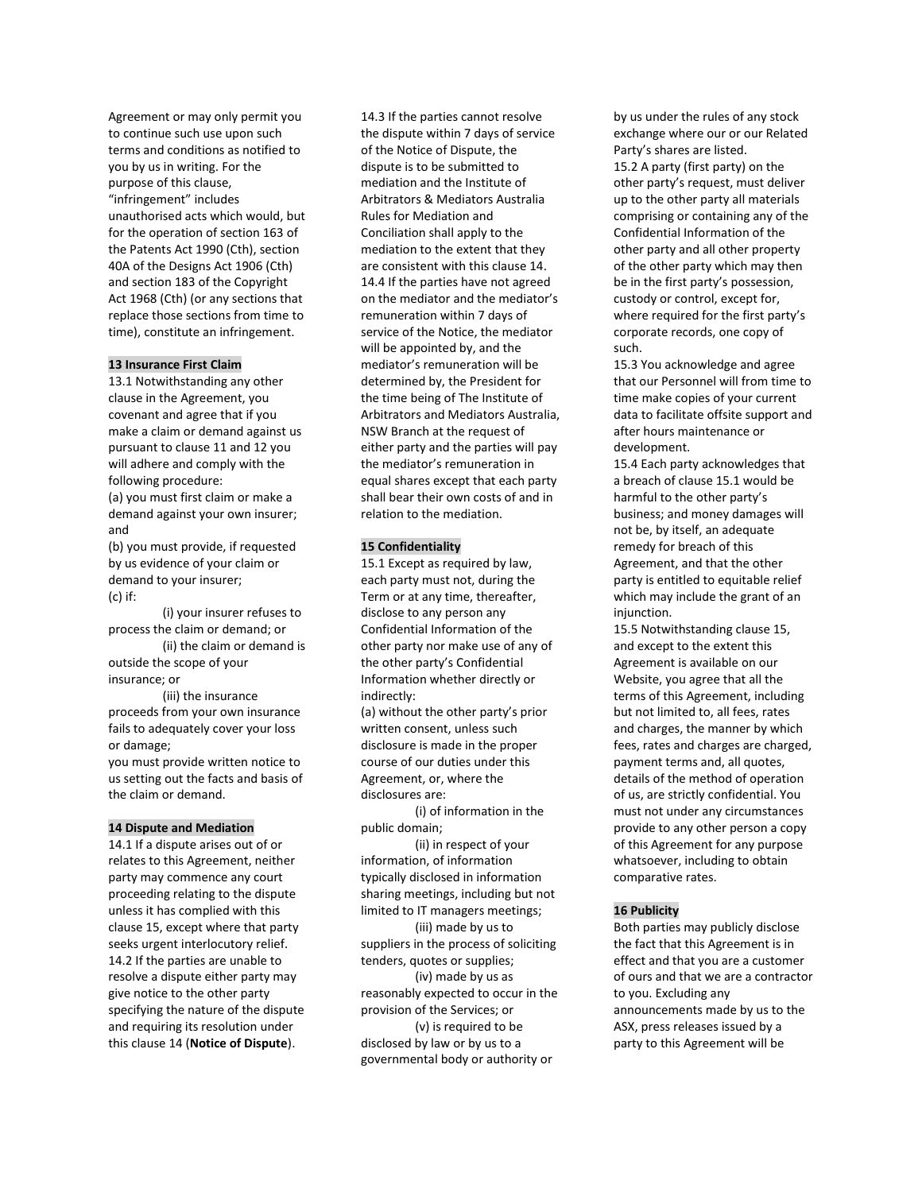Agreement or may only permit you to continue such use upon such terms and conditions as notified to you by us in writing. For the purpose of this clause, "infringement" includes unauthorised acts which would, but for the operation of section 163 of the Patents Act 1990 (Cth), section 40A of the Designs Act 1906 (Cth) and section 183 of the Copyright Act 1968 (Cth) (or any sections that replace those sections from time to time), constitute an infringement.

## **13 Insurance First Claim**

13.1 Notwithstanding any other clause in the Agreement, you covenant and agree that if you make a claim or demand against us pursuant to clause 11 and 12 you will adhere and comply with the following procedure:

(a) you must first claim or make a demand against your own insurer; and

(b) you must provide, if requested by us evidence of your claim or demand to your insurer; (c) if:

(i) your insurer refuses to process the claim or demand; or

(ii) the claim or demand is outside the scope of your insurance; or

(iii) the insurance proceeds from your own insurance fails to adequately cover your loss or damage;

you must provide written notice to us setting out the facts and basis of the claim or demand.

## **14 Dispute and Mediation**

14.1 If a dispute arises out of or relates to this Agreement, neither party may commence any court proceeding relating to the dispute unless it has complied with this clause 15, except where that party seeks urgent interlocutory relief. 14.2 If the parties are unable to resolve a dispute either party may give notice to the other party specifying the nature of the dispute and requiring its resolution under this clause 14 (**Notice of Dispute**).

14.3 If the parties cannot resolve the dispute within 7 days of service of the Notice of Dispute, the dispute is to be submitted to mediation and the Institute of Arbitrators & Mediators Australia Rules for Mediation and Conciliation shall apply to the mediation to the extent that they are consistent with this clause 14. 14.4 If the parties have not agreed on the mediator and the mediator's remuneration within 7 days of service of the Notice, the mediator will be appointed by, and the mediator's remuneration will be determined by, the President for the time being of The Institute of Arbitrators and Mediators Australia, NSW Branch at the request of either party and the parties will pay the mediator's remuneration in equal shares except that each party shall bear their own costs of and in relation to the mediation.

### **15 Confidentiality**

15.1 Except as required by law, each party must not, during the Term or at any time, thereafter, disclose to any person any Confidential Information of the other party nor make use of any of the other party's Confidential Information whether directly or indirectly:

(a) without the other party's prior written consent, unless such disclosure is made in the proper course of our duties under this Agreement, or, where the disclosures are:

(i) of information in the public domain;

(ii) in respect of your information, of information typically disclosed in information sharing meetings, including but not limited to IT managers meetings; (iii) made by us to suppliers in the process of soliciting tenders, quotes or supplies; (iv) made by us as reasonably expected to occur in the provision of the Services; or (v) is required to be disclosed by law or by us to a governmental body or authority or

by us under the rules of any stock exchange where our or our Related Party's shares are listed. 15.2 A party (first party) on the other party's request, must deliver up to the other party all materials comprising or containing any of the Confidential Information of the other party and all other property of the other party which may then be in the first party's possession, custody or control, except for, where required for the first party's corporate records, one copy of such.

15.3 You acknowledge and agree that our Personnel will from time to time make copies of your current data to facilitate offsite support and after hours maintenance or development.

15.4 Each party acknowledges that a breach of clause 15.1 would be harmful to the other party's business; and money damages will not be, by itself, an adequate remedy for breach of this Agreement, and that the other party is entitled to equitable relief which may include the grant of an injunction.

15.5 Notwithstanding clause 15, and except to the extent this Agreement is available on our Website, you agree that all the terms of this Agreement, including but not limited to, all fees, rates and charges, the manner by which fees, rates and charges are charged, payment terms and, all quotes, details of the method of operation of us, are strictly confidential. You must not under any circumstances provide to any other person a copy of this Agreement for any purpose whatsoever, including to obtain comparative rates.

#### **16 Publicity**

Both parties may publicly disclose the fact that this Agreement is in effect and that you are a customer of ours and that we are a contractor to you. Excluding any announcements made by us to the ASX, press releases issued by a party to this Agreement will be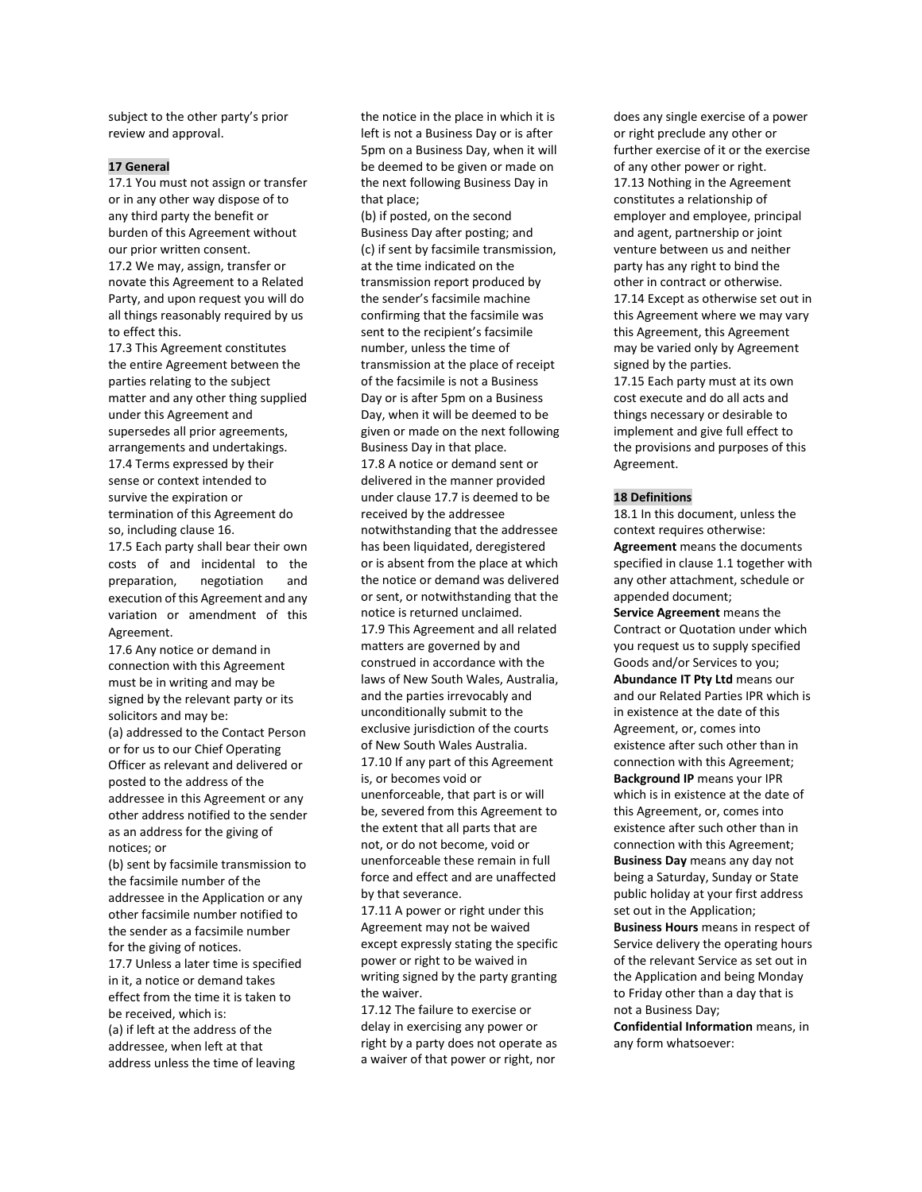subject to the other party's prior review and approval.

## **17 General**

17.1 You must not assign or transfer or in any other way dispose of to any third party the benefit or burden of this Agreement without our prior written consent. 17.2 We may, assign, transfer or novate this Agreement to a Related Party, and upon request you will do all things reasonably required by us to effect this.

17.3 This Agreement constitutes the entire Agreement between the parties relating to the subject matter and any other thing supplied under this Agreement and supersedes all prior agreements, arrangements and undertakings. 17.4 Terms expressed by their sense or context intended to survive the expiration or termination of this Agreement do so, including clause 16.

17.5 Each party shall bear their own costs of and incidental to the preparation, negotiation and execution of this Agreement and any variation or amendment of this Agreement.

17.6 Any notice or demand in connection with this Agreement must be in writing and may be signed by the relevant party or its solicitors and may be:

(a) addressed to the Contact Person or for us to our Chief Operating Officer as relevant and delivered or posted to the address of the addressee in this Agreement or any other address notified to the sender as an address for the giving of notices; or

(b) sent by facsimile transmission to the facsimile number of the addressee in the Application or any other facsimile number notified to the sender as a facsimile number for the giving of notices.

17.7 Unless a later time is specified in it, a notice or demand takes effect from the time it is taken to be received, which is: (a) if left at the address of the addressee, when left at that address unless the time of leaving

the notice in the place in which it is left is not a Business Day or is after 5pm on a Business Day, when it will be deemed to be given or made on the next following Business Day in that place;

(b) if posted, on the second Business Day after posting; and (c) if sent by facsimile transmission, at the time indicated on the transmission report produced by the sender's facsimile machine confirming that the facsimile was sent to the recipient's facsimile number, unless the time of transmission at the place of receipt of the facsimile is not a Business Day or is after 5pm on a Business Day, when it will be deemed to be given or made on the next following Business Day in that place. 17.8 A notice or demand sent or delivered in the manner provided under clause 17.7 is deemed to be received by the addressee notwithstanding that the addressee has been liquidated, deregistered or is absent from the place at which the notice or demand was delivered or sent, or notwithstanding that the notice is returned unclaimed. 17.9 This Agreement and all related matters are governed by and construed in accordance with the laws of New South Wales, Australia, and the parties irrevocably and unconditionally submit to the exclusive jurisdiction of the courts of New South Wales Australia. 17.10 If any part of this Agreement is, or becomes void or unenforceable, that part is or will be, severed from this Agreement to the extent that all parts that are not, or do not become, void or unenforceable these remain in full force and effect and are unaffected by that severance.

17.11 A power or right under this Agreement may not be waived except expressly stating the specific power or right to be waived in writing signed by the party granting the waiver.

17.12 The failure to exercise or delay in exercising any power or right by a party does not operate as a waiver of that power or right, nor

does any single exercise of a power or right preclude any other or further exercise of it or the exercise of any other power or right. 17.13 Nothing in the Agreement constitutes a relationship of employer and employee, principal and agent, partnership or joint venture between us and neither party has any right to bind the other in contract or otherwise. 17.14 Except as otherwise set out in this Agreement where we may vary this Agreement, this Agreement may be varied only by Agreement signed by the parties. 17.15 Each party must at its own

cost execute and do all acts and things necessary or desirable to implement and give full effect to the provisions and purposes of this Agreement.

## **18 Definitions**

18.1 In this document, unless the context requires otherwise: **Agreement** means the documents specified in clause 1.1 together with any other attachment, schedule or appended document;

**Service Agreement** means the Contract or Quotation under which you request us to supply specified Goods and/or Services to you; **Abundance IT Pty Ltd** means our and our Related Parties IPR which is in existence at the date of this Agreement, or, comes into existence after such other than in connection with this Agreement; **Background IP** means your IPR which is in existence at the date of this Agreement, or, comes into existence after such other than in connection with this Agreement; **Business Day** means any day not being a Saturday, Sunday or State public holiday at your first address set out in the Application; **Business Hours** means in respect of Service delivery the operating hours

of the relevant Service as set out in the Application and being Monday to Friday other than a day that is not a Business Day;

**Confidential Information** means, in any form whatsoever: